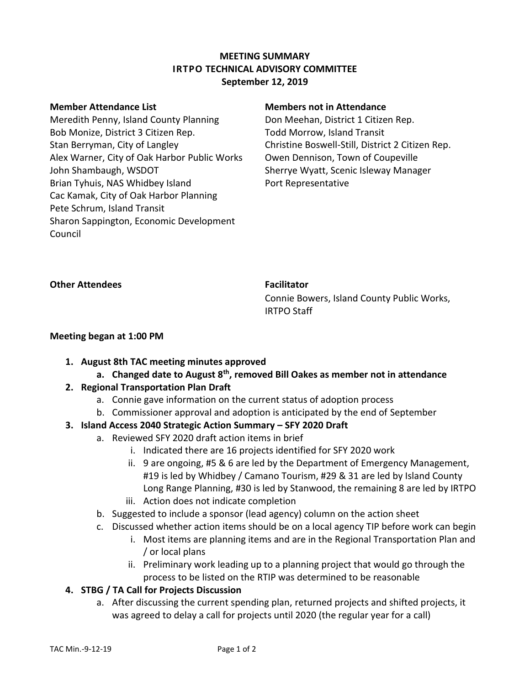### **MEETING SUMMARY IRTPO TECHNICAL ADVISORY COMMITTEE September 12, 2019**

Meredith Penny, Island County Planning Bob Monize, District 3 Citizen Rep. Stan Berryman, City of Langley Alex Warner, City of Oak Harbor Public Works John Shambaugh, WSDOT Brian Tyhuis, NAS Whidbey Island Cac Kamak, City of Oak Harbor Planning Pete Schrum, Island Transit Sharon Sappington, Economic Development Council

### **Member Attendance List Members not in Attendance**

Don Meehan, District 1 Citizen Rep. Todd Morrow, Island Transit Christine Boswell-Still, District 2 Citizen Rep. Owen Dennison, Town of Coupeville Sherrye Wyatt, Scenic Isleway Manager Port Representative

**Other Attendees Facilitator** 

Connie Bowers, Island County Public Works, IRTPO Staff

### **Meeting began at 1:00 PM**

- **1. August 8th TAC meeting minutes approved**
	- **a. Changed date to August 8th, removed Bill Oakes as member not in attendance**

# **2. Regional Transportation Plan Draft**

- a. Connie gave information on the current status of adoption process
- b. Commissioner approval and adoption is anticipated by the end of September
- **3. Island Access 2040 Strategic Action Summary – SFY 2020 Draft**
	- a. Reviewed SFY 2020 draft action items in brief
		- i. Indicated there are 16 projects identified for SFY 2020 work
		- ii. 9 are ongoing, #5 & 6 are led by the Department of Emergency Management, #19 is led by Whidbey / Camano Tourism, #29 & 31 are led by Island County Long Range Planning, #30 is led by Stanwood, the remaining 8 are led by IRTPO iii. Action does not indicate completion
		-
		- b. Suggested to include a sponsor (lead agency) column on the action sheet
		- c. Discussed whether action items should be on a local agency TIP before work can begin
			- i. Most items are planning items and are in the Regional Transportation Plan and / or local plans
			- ii. Preliminary work leading up to a planning project that would go through the process to be listed on the RTIP was determined to be reasonable

# **4. STBG / TA Call for Projects Discussion**

a. After discussing the current spending plan, returned projects and shifted projects, it was agreed to delay a call for projects until 2020 (the regular year for a call)